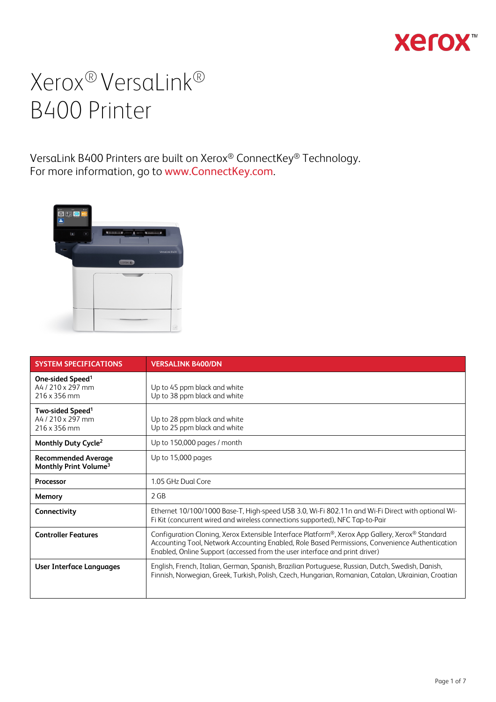

## Xerox® VersaLink® B400 Printer

VersaLink B400 Printers are built on Xerox® ConnectKey® Technology. For more information, go to www.ConnectKey.com.



| <b>SYSTEM SPECIFICATIONS</b>                                      | <b>VERSALINK B400/DN</b>                                                                                                                                                                                                                                                          |
|-------------------------------------------------------------------|-----------------------------------------------------------------------------------------------------------------------------------------------------------------------------------------------------------------------------------------------------------------------------------|
| One-sided Speed <sup>1</sup><br>A4 / 210 x 297 mm<br>216 x 356 mm | Up to 45 ppm black and white<br>Up to 38 ppm black and white                                                                                                                                                                                                                      |
| Two-sided Speed <sup>1</sup><br>A4 / 210 x 297 mm<br>216 x 356 mm | Up to 28 ppm black and white<br>Up to 25 ppm black and white                                                                                                                                                                                                                      |
| Monthly Duty Cycle <sup>2</sup>                                   | Up to 150,000 pages / month                                                                                                                                                                                                                                                       |
| <b>Recommended Average</b><br>Monthly Print Volume <sup>3</sup>   | Up to 15,000 pages                                                                                                                                                                                                                                                                |
| <b>Processor</b>                                                  | 1.05 GHz Dual Core                                                                                                                                                                                                                                                                |
| Memory                                                            | 2 GB                                                                                                                                                                                                                                                                              |
| Connectivity                                                      | Ethernet 10/100/1000 Base-T, High-speed USB 3.0, Wi-Fi 802.11n and Wi-Fi Direct with optional Wi-<br>Fi Kit (concurrent wired and wireless connections supported), NFC Tap-to-Pair                                                                                                |
| <b>Controller Features</b>                                        | Configuration Cloning, Xerox Extensible Interface Platform®, Xerox App Gallery, Xerox® Standard<br>Accounting Tool, Network Accounting Enabled, Role Based Permissions, Convenience Authentication<br>Enabled, Online Support (accessed from the user interface and print driver) |
| User Interface Languages                                          | English, French, Italian, German, Spanish, Brazilian Portuguese, Russian, Dutch, Swedish, Danish,<br>Finnish, Norwegian, Greek, Turkish, Polish, Czech, Hungarian, Romanian, Catalan, Ukrainian, Croatian                                                                         |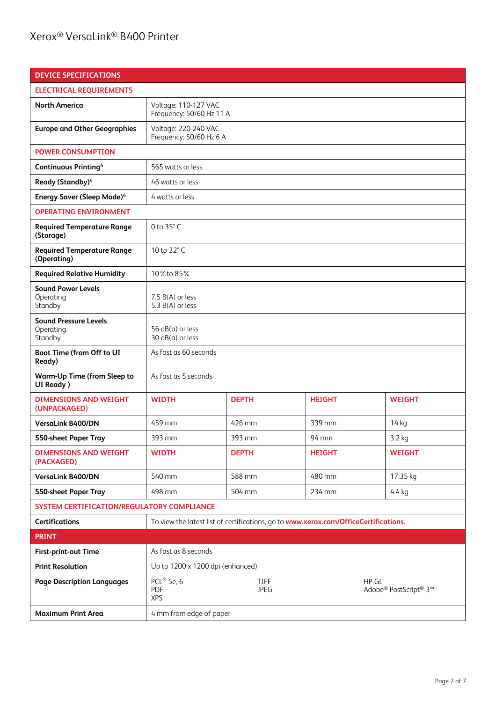| <b>DEVICE SPECIFICATIONS</b>                         |                                                  |                                                                                      |               |                                |
|------------------------------------------------------|--------------------------------------------------|--------------------------------------------------------------------------------------|---------------|--------------------------------|
| <b>ELECTRICAL REQUIREMENTS</b>                       |                                                  |                                                                                      |               |                                |
| <b>North America</b>                                 | Voltage: 110-127 VAC<br>Frequency: 50/60 Hz 11 A |                                                                                      |               |                                |
| <b>Europe and Other Geographies</b>                  | Voltage: 220-240 VAC<br>Frequency: 50/60 Hz 6 A  |                                                                                      |               |                                |
| <b>POWER CONSUMPTION</b>                             |                                                  |                                                                                      |               |                                |
| Continuous Printing <sup>4</sup>                     | 565 watts or less                                |                                                                                      |               |                                |
| Ready (Standby) <sup>4</sup>                         | 46 watts or less                                 |                                                                                      |               |                                |
| <b>Energy Saver (Sleep Mode)4</b>                    | 4 watts or less                                  |                                                                                      |               |                                |
| <b>OPERATING ENVIRONMENT</b>                         |                                                  |                                                                                      |               |                                |
| <b>Required Temperature Range</b><br>(Storage)       | 0 to 35°C                                        |                                                                                      |               |                                |
| <b>Required Temperature Range</b><br>(Operating)     | 10 to 32° C                                      |                                                                                      |               |                                |
| <b>Required Relative Humidity</b>                    | 10% to 85%                                       |                                                                                      |               |                                |
| <b>Sound Power Levels</b><br>Operating<br>Standby    | 7.5 B(A) or less<br>5.3 B(A) or less             |                                                                                      |               |                                |
| <b>Sound Pressure Levels</b><br>Operating<br>Standby | $56$ dB(a) or less<br>$30$ dB(a) or less         |                                                                                      |               |                                |
| Boot Time (from Off to UI<br>Ready)                  | As fast as 60 seconds                            |                                                                                      |               |                                |
| <b>Warm-Up Time (from Sleep to</b><br>UI Ready)      | As fast as 5 seconds                             |                                                                                      |               |                                |
| <b>DIMENSIONS AND WEIGHT</b><br>(UNPACKAGED)         | <b>WIDTH</b>                                     | <b>DEPTH</b>                                                                         | <b>HEIGHT</b> | <b>WEIGHT</b>                  |
| <b>VersaLink B400/DN</b>                             | 459 mm                                           | 426 mm                                                                               | 339 mm        | 14 kg                          |
| 550-sheet Paper Tray                                 | 393 mm                                           | 393 mm                                                                               | 94 mm         | 3.2 kg                         |
| <b>DIMENSIONS AND WEIGHT</b><br>(PACKAGED)           | <b>WIDTH</b>                                     | <b>DEPTH</b>                                                                         | <b>HEIGHT</b> | <b>WEIGHT</b>                  |
| <b>VersaLink B400/DN</b>                             | 540 mm                                           | 588 mm                                                                               | 480 mm        | 17.35 kg                       |
| 550-sheet Paper Tray                                 | 498 mm                                           | 504 mm                                                                               | 234 mm        | $4.4$ kg                       |
| SYSTEM CERTIFICATION/REGULATORY COMPLIANCE           |                                                  |                                                                                      |               |                                |
| <b>Certifications</b>                                |                                                  | To view the latest list of certifications, go to www.xerox.com/OfficeCertifications. |               |                                |
| <b>PRINT</b>                                         |                                                  |                                                                                      |               |                                |
| First-print-out Time                                 | As fast as 8 seconds                             |                                                                                      |               |                                |
| <b>Print Resolution</b>                              | Up to 1200 x 1200 dpi (enhanced)                 |                                                                                      |               |                                |
| <b>Page Description Languages</b>                    | PCL® 5e, 6<br>PDF<br><b>XPS</b>                  | TIFF<br>JPEG                                                                         |               | HP-GL<br>Adobe® PostScript® 3™ |
| <b>Maximum Print Area</b>                            | 4 mm from edge of paper                          |                                                                                      |               |                                |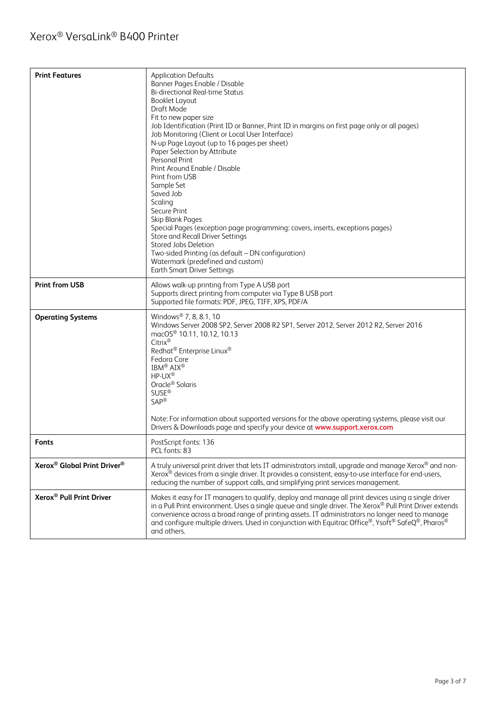## Xerox® VersaLink® B400 Printer

| <b>Print Features</b>                               | <b>Application Defaults</b><br>Banner Pages Enable / Disable<br><b>Bi-directional Real-time Status</b><br><b>Booklet Layout</b><br>Draft Mode<br>Fit to new paper size<br>Job Identification (Print ID or Banner, Print ID in margins on first page only or all pages)<br>Job Monitoring (Client or Local User Interface)<br>N-up Page Layout (up to 16 pages per sheet)<br>Paper Selection by Attribute<br>Personal Print<br>Print Around Enable / Disable<br>Print from USB<br>Sample Set<br>Saved Job<br>Scaling<br>Secure Print<br>Skip Blank Pages<br>Special Pages (exception page programming: covers, inserts, exceptions pages)<br>Store and Recall Driver Settings<br><b>Stored Jobs Deletion</b><br>Two-sided Printing (as default - DN configuration)<br>Watermark (predefined and custom)<br><b>Earth Smart Driver Settings</b> |
|-----------------------------------------------------|----------------------------------------------------------------------------------------------------------------------------------------------------------------------------------------------------------------------------------------------------------------------------------------------------------------------------------------------------------------------------------------------------------------------------------------------------------------------------------------------------------------------------------------------------------------------------------------------------------------------------------------------------------------------------------------------------------------------------------------------------------------------------------------------------------------------------------------------|
| <b>Print from USB</b>                               | Allows walk-up printing from Type A USB port<br>Supports direct printing from computer via Type B USB port<br>Supported file formats: PDF, JPEG, TIFF, XPS, PDF/A                                                                                                                                                                                                                                                                                                                                                                                                                                                                                                                                                                                                                                                                            |
| <b>Operating Systems</b>                            | Windows <sup>®</sup> 7, 8, 8.1, 10<br>Windows Server 2008 SP2, Server 2008 R2 SP1, Server 2012, Server 2012 R2, Server 2016<br>macOS <sup>®</sup> 10.11, 10.12, 10.13<br>Citrix®<br>Redhat <sup>®</sup> Enterprise Linux <sup>®</sup><br>Fedora Core<br>IBM <sup>®</sup> AIX <sup>®</sup><br>HP-UX®<br>Oracle <sup>®</sup> Solaris<br>SUSE <sup>®</sup><br><b>SAP®</b><br>Note: For information about supported versions for the above operating systems, please visit our                                                                                                                                                                                                                                                                                                                                                                   |
| <b>Fonts</b>                                        | Drivers & Downloads page and specify your device at www.support.xerox.com<br>PostScript fonts: 136<br>PCL fonts: 83                                                                                                                                                                                                                                                                                                                                                                                                                                                                                                                                                                                                                                                                                                                          |
| Xerox <sup>®</sup> Global Print Driver <sup>®</sup> | A truly universal print driver that lets IT administrators install, upgrade and manage Xerox® and non-<br>Xerox® devices from a single driver. It provides a consistent, easy-to-use interface for end-users,<br>reducing the number of support calls, and simplifying print services management.                                                                                                                                                                                                                                                                                                                                                                                                                                                                                                                                            |
| Xerox <sup>®</sup> Pull Print Driver                | Makes it easy for IT managers to qualify, deploy and manage all print devices using a single driver<br>in a Pull Print environment. Uses a single queue and single driver. The Xerox® Pull Print Driver extends<br>convenience across a broad range of printing assets. IT administrators no longer need to manage<br>and configure multiple drivers. Used in conjunction with Equitrac Office®, Ysoft® SafeQ®, Pharos®<br>and others.                                                                                                                                                                                                                                                                                                                                                                                                       |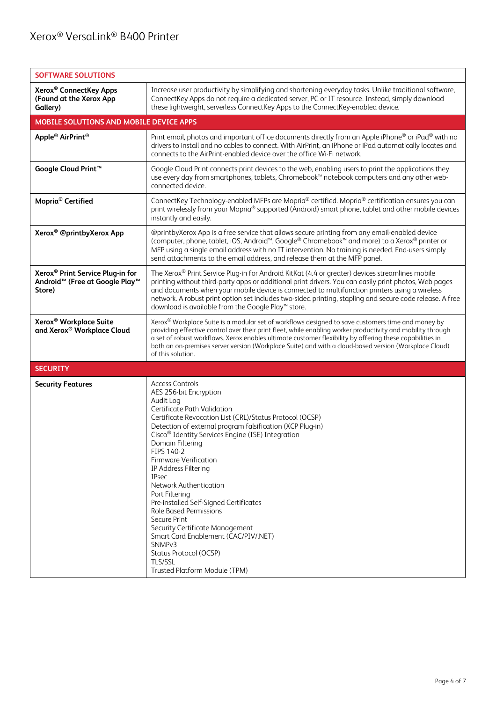| <b>SOFTWARE SOLUTIONS</b>                                                                                        |                                                                                                                                                                                                                                                                                                                                                                                                                                                                                                                                                                                                                                                                                                                |
|------------------------------------------------------------------------------------------------------------------|----------------------------------------------------------------------------------------------------------------------------------------------------------------------------------------------------------------------------------------------------------------------------------------------------------------------------------------------------------------------------------------------------------------------------------------------------------------------------------------------------------------------------------------------------------------------------------------------------------------------------------------------------------------------------------------------------------------|
| Xerox <sup>®</sup> ConnectKey Apps<br>(Found at the Xerox App<br>Gallery)                                        | Increase user productivity by simplifying and shortening everyday tasks. Unlike traditional software,<br>ConnectKey Apps do not require a dedicated server, PC or IT resource. Instead, simply download<br>these lightweight, serverless ConnectKey Apps to the ConnectKey-enabled device.                                                                                                                                                                                                                                                                                                                                                                                                                     |
| MOBILE SOLUTIONS AND MOBILE DEVICE APPS                                                                          |                                                                                                                                                                                                                                                                                                                                                                                                                                                                                                                                                                                                                                                                                                                |
| Apple <sup>®</sup> AirPrint <sup>®</sup>                                                                         | Print email, photos and important office documents directly from an Apple iPhone® or iPad® with no<br>drivers to install and no cables to connect. With AirPrint, an iPhone or iPad automatically locates and<br>connects to the AirPrint-enabled device over the office Wi-Fi network.                                                                                                                                                                                                                                                                                                                                                                                                                        |
| Google Cloud Print <sup>™</sup>                                                                                  | Google Cloud Print connects print devices to the web, enabling users to print the applications they<br>use every day from smartphones, tablets, Chromebook™ notebook computers and any other web-<br>connected device.                                                                                                                                                                                                                                                                                                                                                                                                                                                                                         |
| Mopria <sup>®</sup> Certified                                                                                    | ConnectKey Technology-enabled MFPs are Mopria® certified. Mopria® certification ensures you can<br>print wirelessly from your Mopria® supported (Android) smart phone, tablet and other mobile devices<br>instantly and easily.                                                                                                                                                                                                                                                                                                                                                                                                                                                                                |
| Xerox <sup>®</sup> @printbyXerox App                                                                             | @printbyXerox App is a free service that allows secure printing from any email-enabled device<br>(computer, phone, tablet, iOS, Android <sup>™</sup> , Google <sup>®</sup> Chromebook™ and more) to a Xerox® printer or<br>MFP using a single email address with no IT intervention. No training is needed. End-users simply<br>send attachments to the email address, and release them at the MFP panel.                                                                                                                                                                                                                                                                                                      |
| Xerox <sup>®</sup> Print Service Plug-in for<br>Android <sup>™</sup> (Free at Google Play <sup>™</sup><br>Store) | The Xerox® Print Service Plug-in for Android KitKat (4.4 or greater) devices streamlines mobile<br>printing without third-party apps or additional print drivers. You can easily print photos, Web pages<br>and documents when your mobile device is connected to multifunction printers using a wireless<br>network. A robust print option set includes two-sided printing, stapling and secure code release. A free<br>download is available from the Google Play™ store.                                                                                                                                                                                                                                    |
| Xerox <sup>®</sup> Workplace Suite<br>and Xerox® Workplace Cloud                                                 | Xerox® Workplace Suite is a modular set of workflows designed to save customers time and money by<br>providing effective control over their print fleet, while enabling worker productivity and mobility through<br>a set of robust workflows. Xerox enables ultimate customer flexibility by offering these capabilities in<br>both an on-premises server version (Workplace Suite) and with a cloud-based version (Workplace Cloud)<br>of this solution.                                                                                                                                                                                                                                                     |
| <b>SECURITY</b>                                                                                                  |                                                                                                                                                                                                                                                                                                                                                                                                                                                                                                                                                                                                                                                                                                                |
| <b>Security Features</b>                                                                                         | <b>Access Controls</b><br>AES 256-bit Encryption<br>Audit Log<br>Certificate Path Validation<br>Certificate Revocation List (CRL)/Status Protocol (OCSP)<br>Detection of external program falsification (XCP Plug-in)<br>Cisco <sup>®</sup> Identity Services Engine (ISE) Integration<br>Domain Filtering<br>FIPS 140-2<br><b>Firmware Verification</b><br>IP Address Filtering<br><b>IPsec</b><br>Network Authentication<br>Port Filtering<br>Pre-installed Self-Signed Certificates<br><b>Role Based Permissions</b><br>Secure Print<br>Security Certificate Management<br>Smart Card Enablement (CAC/PIV/.NET)<br>SNMP <sub>v3</sub><br>Status Protocol (OCSP)<br>TLS/SSL<br>Trusted Platform Module (TPM) |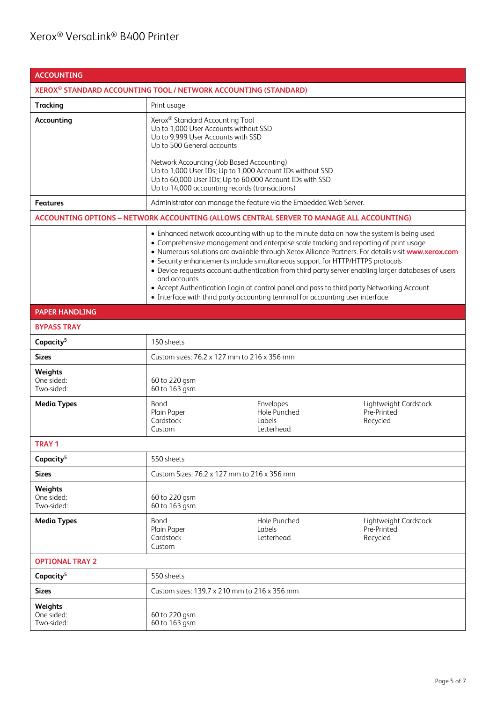| <b>ACCOUNTING</b>                                                                        |                                                                                                                                                                                                                                                                                                                                                                                                                                                                   |                                                   |                                                                                                                                                                                                            |
|------------------------------------------------------------------------------------------|-------------------------------------------------------------------------------------------------------------------------------------------------------------------------------------------------------------------------------------------------------------------------------------------------------------------------------------------------------------------------------------------------------------------------------------------------------------------|---------------------------------------------------|------------------------------------------------------------------------------------------------------------------------------------------------------------------------------------------------------------|
| XEROX <sup>®</sup> STANDARD ACCOUNTING TOOL / NETWORK ACCOUNTING (STANDARD)              |                                                                                                                                                                                                                                                                                                                                                                                                                                                                   |                                                   |                                                                                                                                                                                                            |
| <b>Tracking</b>                                                                          | Print usage                                                                                                                                                                                                                                                                                                                                                                                                                                                       |                                                   |                                                                                                                                                                                                            |
| Accounting                                                                               | Xerox <sup>®</sup> Standard Accounting Tool<br>Up to 1,000 User Accounts without SSD<br>Up to 9,999 User Accounts with SSD<br>Up to 500 General accounts<br>Network Accounting (Job Based Accounting)<br>Up to 1,000 User IDs; Up to 1,000 Account IDs without SSD<br>Up to 60,000 User IDs; Up to 60,000 Account IDs with SSD<br>Up to 14,000 accounting records (transactions)                                                                                  |                                                   |                                                                                                                                                                                                            |
| <b>Features</b>                                                                          | Administrator can manage the feature via the Embedded Web Server.                                                                                                                                                                                                                                                                                                                                                                                                 |                                                   |                                                                                                                                                                                                            |
| ACCOUNTING OPTIONS - NETWORK ACCOUNTING (ALLOWS CENTRAL SERVER TO MANAGE ALL ACCOUNTING) |                                                                                                                                                                                                                                                                                                                                                                                                                                                                   |                                                   |                                                                                                                                                                                                            |
|                                                                                          | • Enhanced network accounting with up to the minute data on how the system is being used<br>• Comprehensive management and enterprise scale tracking and reporting of print usage<br>• Security enhancements include simultaneous support for HTTP/HTTPS protocols<br>and accounts<br>• Accept Authentication Login at control panel and pass to third party Networking Account<br>• Interface with third party accounting terminal for accounting user interface |                                                   | . Numerous solutions are available through Xerox Alliance Partners. For details visit www.xerox.com<br>• Device requests account authentication from third party server enabling larger databases of users |
| <b>PAPER HANDLING</b>                                                                    |                                                                                                                                                                                                                                                                                                                                                                                                                                                                   |                                                   |                                                                                                                                                                                                            |
| <b>BYPASS TRAY</b>                                                                       |                                                                                                                                                                                                                                                                                                                                                                                                                                                                   |                                                   |                                                                                                                                                                                                            |
| Capacity <sup>5</sup>                                                                    | 150 sheets                                                                                                                                                                                                                                                                                                                                                                                                                                                        |                                                   |                                                                                                                                                                                                            |
| <b>Sizes</b>                                                                             | Custom sizes: 76.2 x 127 mm to 216 x 356 mm                                                                                                                                                                                                                                                                                                                                                                                                                       |                                                   |                                                                                                                                                                                                            |
| Weights<br>One sided:<br>Two-sided:                                                      | 60 to 220 gsm<br>60 to 163 gsm                                                                                                                                                                                                                                                                                                                                                                                                                                    |                                                   |                                                                                                                                                                                                            |
| <b>Media Types</b>                                                                       | Bond<br>Plain Paper<br>Cardstock<br>Custom                                                                                                                                                                                                                                                                                                                                                                                                                        | Envelopes<br>Hole Punched<br>Labels<br>Letterhead | Lightweight Cardstock<br>Pre-Printed<br>Recycled                                                                                                                                                           |
| <b>TRAY 1</b>                                                                            |                                                                                                                                                                                                                                                                                                                                                                                                                                                                   |                                                   |                                                                                                                                                                                                            |
| Capacity <sup>5</sup>                                                                    | 550 sheets                                                                                                                                                                                                                                                                                                                                                                                                                                                        |                                                   |                                                                                                                                                                                                            |
| <b>Sizes</b>                                                                             | Custom Sizes: 76.2 x 127 mm to 216 x 356 mm                                                                                                                                                                                                                                                                                                                                                                                                                       |                                                   |                                                                                                                                                                                                            |
| Weights<br>One sided:<br>Two-sided:                                                      | 60 to 220 gsm<br>60 to 163 gsm                                                                                                                                                                                                                                                                                                                                                                                                                                    |                                                   |                                                                                                                                                                                                            |
| <b>Media Types</b>                                                                       | Bond<br>Plain Paper<br>Cardstock<br>Custom                                                                                                                                                                                                                                                                                                                                                                                                                        | Hole Punched<br>Labels<br>Letterhead              | Lightweight Cardstock<br>Pre-Printed<br>Recycled                                                                                                                                                           |
| <b>OPTIONAL TRAY 2</b>                                                                   |                                                                                                                                                                                                                                                                                                                                                                                                                                                                   |                                                   |                                                                                                                                                                                                            |
| Capacity <sup>5</sup>                                                                    | 550 sheets                                                                                                                                                                                                                                                                                                                                                                                                                                                        |                                                   |                                                                                                                                                                                                            |
| <b>Sizes</b>                                                                             | Custom sizes: 139.7 x 210 mm to 216 x 356 mm                                                                                                                                                                                                                                                                                                                                                                                                                      |                                                   |                                                                                                                                                                                                            |
| Weights<br>One sided:<br>Two-sided:                                                      | 60 to 220 gsm<br>60 to 163 gsm                                                                                                                                                                                                                                                                                                                                                                                                                                    |                                                   |                                                                                                                                                                                                            |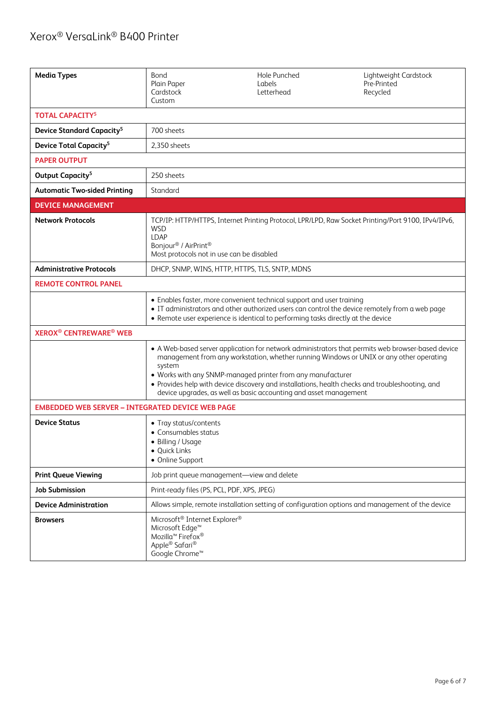| <b>Media Types</b>                                      | Bond<br>Plain Paper<br>Cardstock<br>Custom                                                                                                                            | Hole Punched<br>Labels<br>Letterhead                                                                                                                                                                                                                                                                                                                                                                                                | Lightweight Cardstock<br>Pre-Printed<br>Recycled |
|---------------------------------------------------------|-----------------------------------------------------------------------------------------------------------------------------------------------------------------------|-------------------------------------------------------------------------------------------------------------------------------------------------------------------------------------------------------------------------------------------------------------------------------------------------------------------------------------------------------------------------------------------------------------------------------------|--------------------------------------------------|
| <b>TOTAL CAPACITY<sup>5</sup></b>                       |                                                                                                                                                                       |                                                                                                                                                                                                                                                                                                                                                                                                                                     |                                                  |
| <b>Device Standard Capacity<sup>5</sup></b>             | 700 sheets                                                                                                                                                            |                                                                                                                                                                                                                                                                                                                                                                                                                                     |                                                  |
| <b>Device Total Capacity<sup>5</sup></b>                | 2,350 sheets                                                                                                                                                          |                                                                                                                                                                                                                                                                                                                                                                                                                                     |                                                  |
| <b>PAPER OUTPUT</b>                                     |                                                                                                                                                                       |                                                                                                                                                                                                                                                                                                                                                                                                                                     |                                                  |
| Output Capacity <sup>5</sup>                            | 250 sheets                                                                                                                                                            |                                                                                                                                                                                                                                                                                                                                                                                                                                     |                                                  |
| <b>Automatic Two-sided Printing</b>                     | Standard                                                                                                                                                              |                                                                                                                                                                                                                                                                                                                                                                                                                                     |                                                  |
| <b>DEVICE MANAGEMENT</b>                                |                                                                                                                                                                       |                                                                                                                                                                                                                                                                                                                                                                                                                                     |                                                  |
| <b>Network Protocols</b>                                | <b>WSD</b><br>LDAP<br>Bonjour <sup>®</sup> / AirPrint <sup>®</sup><br>Most protocols not in use can be disabled                                                       | TCP/IP: HTTP/HTTPS, Internet Printing Protocol, LPR/LPD, Raw Socket Printing/Port 9100, IPv4/IPv6,                                                                                                                                                                                                                                                                                                                                  |                                                  |
| <b>Administrative Protocols</b>                         | DHCP, SNMP, WINS, HTTP, HTTPS, TLS, SNTP, MDNS                                                                                                                        |                                                                                                                                                                                                                                                                                                                                                                                                                                     |                                                  |
| <b>REMOTE CONTROL PANEL</b>                             |                                                                                                                                                                       |                                                                                                                                                                                                                                                                                                                                                                                                                                     |                                                  |
|                                                         |                                                                                                                                                                       | • Enables faster, more convenient technical support and user training<br>• IT administrators and other authorized users can control the device remotely from a web page<br>• Remote user experience is identical to performing tasks directly at the device                                                                                                                                                                         |                                                  |
| <b>XEROX<sup>®</sup> CENTREWARE<sup>®</sup> WEB</b>     |                                                                                                                                                                       |                                                                                                                                                                                                                                                                                                                                                                                                                                     |                                                  |
|                                                         | system                                                                                                                                                                | • A Web-based server application for network administrators that permits web browser-based device<br>management from any workstation, whether running Windows or UNIX or any other operating<br>• Works with any SNMP-managed printer from any manufacturer<br>• Provides help with device discovery and installations, health checks and troubleshooting, and<br>device upgrades, as well as basic accounting and asset management |                                                  |
| <b>EMBEDDED WEB SERVER - INTEGRATED DEVICE WEB PAGE</b> |                                                                                                                                                                       |                                                                                                                                                                                                                                                                                                                                                                                                                                     |                                                  |
| <b>Device Status</b>                                    | • Tray status/contents<br>• Consumables status<br>• Billing / Usage<br>• Quick Links<br>• Online Support                                                              |                                                                                                                                                                                                                                                                                                                                                                                                                                     |                                                  |
| <b>Print Queue Viewing</b>                              | Job print queue management-view and delete                                                                                                                            |                                                                                                                                                                                                                                                                                                                                                                                                                                     |                                                  |
| <b>Job Submission</b>                                   | Print-ready files (PS, PCL, PDF, XPS, JPEG)                                                                                                                           |                                                                                                                                                                                                                                                                                                                                                                                                                                     |                                                  |
| <b>Device Administration</b>                            |                                                                                                                                                                       | Allows simple, remote installation setting of configuration options and management of the device                                                                                                                                                                                                                                                                                                                                    |                                                  |
| <b>Browsers</b>                                         | Microsoft <sup>®</sup> Internet Explorer®<br>Microsoft Edge <sup>™</sup><br>Mozilla <sup>™</sup> Firefox <sup>®</sup><br>Apple® Safari®<br>Google Chrome <sup>™</sup> |                                                                                                                                                                                                                                                                                                                                                                                                                                     |                                                  |